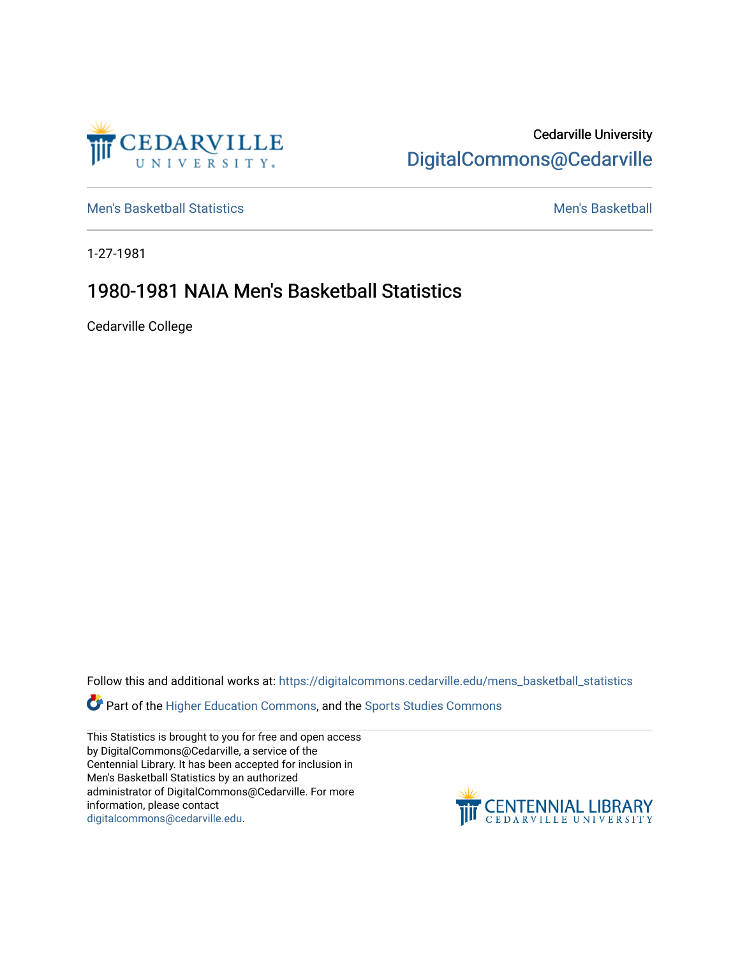

Cedarville University [DigitalCommons@Cedarville](https://digitalcommons.cedarville.edu/) 

[Men's Basketball Statistics](https://digitalcommons.cedarville.edu/mens_basketball_statistics) [Men's Basketball](https://digitalcommons.cedarville.edu/mens_basketball) 

1-27-1981

## 1980-1981 NAIA Men's Basketball Statistics

Cedarville College

Follow this and additional works at: [https://digitalcommons.cedarville.edu/mens\\_basketball\\_statistics](https://digitalcommons.cedarville.edu/mens_basketball_statistics?utm_source=digitalcommons.cedarville.edu%2Fmens_basketball_statistics%2F381&utm_medium=PDF&utm_campaign=PDFCoverPages) 

**Part of the [Higher Education Commons,](http://network.bepress.com/hgg/discipline/1245?utm_source=digitalcommons.cedarville.edu%2Fmens_basketball_statistics%2F381&utm_medium=PDF&utm_campaign=PDFCoverPages) and the Sports Studies Commons** 

This Statistics is brought to you for free and open access by DigitalCommons@Cedarville, a service of the Centennial Library. It has been accepted for inclusion in Men's Basketball Statistics by an authorized administrator of DigitalCommons@Cedarville. For more information, please contact [digitalcommons@cedarville.edu](mailto:digitalcommons@cedarville.edu).

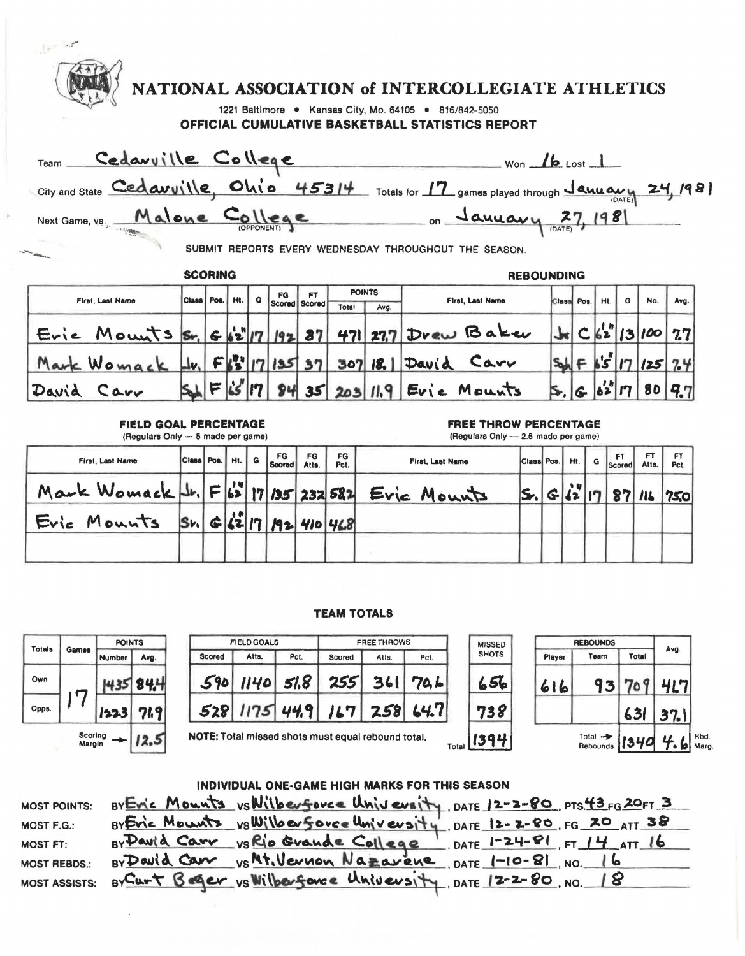| $\mathbb{R}$ and                                                                                                                  |                           |      |               |   |                |                      |             |                       |                  |                                                                         |                   |            |                   |     |               |                         |             |
|-----------------------------------------------------------------------------------------------------------------------------------|---------------------------|------|---------------|---|----------------|----------------------|-------------|-----------------------|------------------|-------------------------------------------------------------------------|-------------------|------------|-------------------|-----|---------------|-------------------------|-------------|
|                                                                                                                                   |                           |      |               |   |                |                      |             |                       |                  | NATIONAL ASSOCIATION of INTERCOLLEGIATE ATHLETICS                       |                   |            |                   |     |               |                         |             |
| 1221 Baltimore . Kansas City, Mo. 64105 . 816/842-5050                                                                            |                           |      |               |   |                |                      |             |                       |                  |                                                                         |                   |            |                   |     |               |                         |             |
| <b>OFFICIAL CUMULATIVE BASKETBALL STATISTICS REPORT</b>                                                                           |                           |      |               |   |                |                      |             |                       |                  |                                                                         |                   |            |                   |     |               |                         |             |
| Team Cedavuille College<br>$Won$ $\blacktriangle$ Lost $\blacktriangle$                                                           |                           |      |               |   |                |                      |             |                       |                  |                                                                         |                   |            |                   |     |               |                         |             |
| City and State Cedavuille, Ohio 45314 Totals for 17 games played through January 24, 1981                                         |                           |      |               |   |                |                      |             |                       |                  |                                                                         |                   |            |                   |     |               |                         |             |
| Next Game, vs. Malone College on January 27, 1981                                                                                 |                           |      |               |   |                |                      |             |                       |                  |                                                                         |                   |            |                   |     |               |                         |             |
|                                                                                                                                   |                           |      |               |   |                |                      |             |                       |                  |                                                                         |                   |            |                   |     |               |                         |             |
| SUBMIT REPORTS EVERY WEDNESDAY THROUGHOUT THE SEASON.                                                                             |                           |      |               |   |                |                      |             |                       |                  |                                                                         |                   |            |                   |     |               |                         |             |
|                                                                                                                                   | <b>SCORING</b>            |      |               |   |                |                      |             |                       |                  |                                                                         | <b>REBOUNDING</b> |            |                   |     |               |                         |             |
| First, Last Name                                                                                                                  | Class <sup>I</sup>        | Pos. | Ht.           | G | FG             | FT.<br>Scored Scored | Total       | <b>POINTS</b><br>Avg. |                  | First, Last Name                                                        |                   | Class      | Pos.              | Ht. | G             | No.                     | Ava.        |
| $E$ ric Mounts $s$ r, $s$ $s^{2}$ 17 192 87                                                                                       |                           |      |               |   |                |                      |             |                       |                  | 471 277 Drew Baker                                                      |                   |            |                   |     |               | C 62  13 100            | 7.7         |
| Mark Womack                                                                                                                       |                           |      |               |   |                |                      |             |                       |                  | $ I_{V_{1}} F _{2}^{IV} _{7} _{135} _{37} _{307} _{18}  D_{AV} d $ Carr |                   |            |                   |     |               | $S_{ab} = 65  17   25 $ | 7.4         |
| David Carr                                                                                                                        |                           |      | $F _{L5}$  17 |   |                | 8435                 |             |                       |                  | $203/119$ Evie Mounts                                                   |                   |            |                   |     | 6 62 17       | 80                      | 9.7         |
| FIELD GOAL PERCENTAGE<br><b>FREE THROW PERCENTAGE</b><br>(Regulars Only - 5 made per game)<br>(Regulars Only - 2.5 made per game) |                           |      |               |   |                |                      |             |                       |                  |                                                                         |                   |            |                   |     |               |                         |             |
| First, Last Name                                                                                                                  | Class Pos.                |      | HI.           | G | FG<br>Scored I | FG<br>Atts.          | FG<br>Pct.  |                       | First, Last Name |                                                                         |                   | Class Pos. | Ht.               | G   | FT.<br>Scored | FT.<br>Atts.            | FT.<br>Pct. |
| Mark Womack   1. F 62 17 135 232 582                                                                                              |                           |      |               |   |                |                      |             |                       | Eric Mounts      |                                                                         | S.                |            | , n<br>$G(12)$ 17 |     | 87            | $\mathbf{u}$            | 750         |
| Eric Mounts                                                                                                                       | $ S_{1} $ $ C_{2} $ $ 7 $ |      |               |   |                |                      | 192 410 468 |                       |                  |                                                                         |                   |            |                   |     |               |                         |             |
|                                                                                                                                   |                           |      |               |   |                |                      |             |                       |                  |                                                                         |                   |            |                   |     |               |                         |             |

## **TEAM** TOTALS

| Totals | Games | <b>POINTS</b> |      |  |  |  |
|--------|-------|---------------|------|--|--|--|
|        |       | Number        | Avg. |  |  |  |
| Own    |       |               |      |  |  |  |
| Opps.  |       | 1223          | 749  |  |  |  |

|        | <b>FIELD GOALS</b> |      | <b>FREE THROWS</b>                                 |       | <b>MISSEI</b> |       |              |
|--------|--------------------|------|----------------------------------------------------|-------|---------------|-------|--------------|
| Scored | Atts.              | Pct. | Scored                                             | Atts. | Pct.          |       | <b>SHOTS</b> |
| 590    | $1140$ $51.8$      |      | 255                                                | 361   | 70.6          |       | 51           |
|        |                    |      | $528$ 1175 44.9 167 258 64.7                       |       |               |       | 38           |
|        |                    |      | NOTE: Total missed shots must equal rebound total. |       |               | Total |              |

| <b>MISSED</b> | <b>REBOUNDS</b> | Avg.                            |       |      |
|---------------|-----------------|---------------------------------|-------|------|
| <b>SHOTS</b>  | Player          | Team                            | Total |      |
| 656           | 616             | 93                              |       | 417  |
| 738           |                 |                                 | 631   | 37.1 |
| 1394          |                 | Total $\rightarrow$<br>Rebounds | 1340  | 4.6  |

| INDIVIDUAL ONE-GAME HIGH MARKS FOR THIS SEASON |  |                                                                          |  |  |  |  |  |  |  |
|------------------------------------------------|--|--------------------------------------------------------------------------|--|--|--|--|--|--|--|
| <b>MOST POINTS:</b>                            |  | BY Evic Mounts vs Wilberforce University, DATE 12-2-80, PTS 43 FG 20FT 3 |  |  |  |  |  |  |  |
| MOST F.G.:                                     |  | BY Evic Mounts vs Willow Sovee University, DATE 12-2-80, FG 20 ATT 38    |  |  |  |  |  |  |  |
| <b>MOST FT:</b>                                |  | By Pauld Carr vs Rio Grande College, DATE 1-24-81, FT 14 ATT 16          |  |  |  |  |  |  |  |
| <b>MOST REBDS.:</b>                            |  | BYDavid Carr vs Mt. Vernon Nazarene, DATE 1-10-81, NO. 16                |  |  |  |  |  |  |  |
| <b>MOST ASSISTS:</b>                           |  | By Curt Beger vs Wilberforce University, DATE 12-2-80, NO. 18            |  |  |  |  |  |  |  |